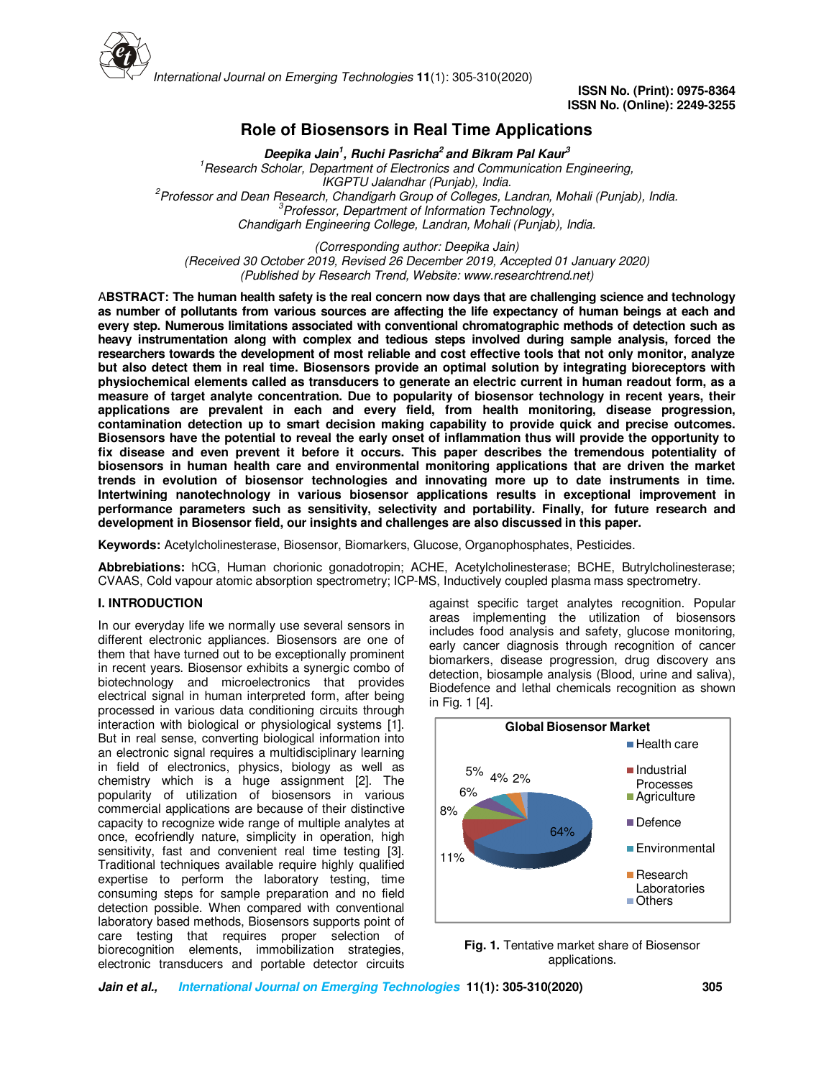

**ISSN No. (Print): 0975-8364 ISSN No. (Online): 2249-3255** 

# **Role of Biosensors in Real Time Applications**

**Deepika Jain<sup>1</sup> , Ruchi Pasricha<sup>2</sup>and Bikram Pal Kaur<sup>3</sup>** *<sup>1</sup>Research Scholar, Department of Electronics and Communication Engineering, IKGPTU Jalandhar (Punjab), India. <sup>2</sup>Professor and Dean Research, Chandigarh Group of Colleges, Landran, Mohali (Punjab), India. <sup>3</sup>Professor, Department of Information Technology, Chandigarh Engineering College, Landran, Mohali (Punjab), India.* 

*(Corresponding author: Deepika Jain) (Received 30 October 2019, Revised 26 December 2019, Accepted 01 January 2020) (Published by Research Trend, Website: www.researchtrend.net)*

A**BSTRACT: The human health safety is the real concern now days that are challenging science and technology as number of pollutants from various sources are affecting the life expectancy of human beings at each and every step. Numerous limitations associated with conventional chromatographic methods of detection such as heavy instrumentation along with complex and tedious steps involved during sample analysis, forced the researchers towards the development of most reliable and cost effective tools that not only monitor, analyze but also detect them in real time. Biosensors provide an optimal solution by integrating bioreceptors with physiochemical elements called as transducers to generate an electric current in human readout form, as a measure of target analyte concentration. Due to popularity of biosensor technology in recent years, their applications are prevalent in each and every field, from health monitoring, disease progression, contamination detection up to smart decision making capability to provide quick and precise outcomes. Biosensors have the potential to reveal the early onset of inflammation thus will provide the opportunity to fix disease and even prevent it before it occurs. This paper describes the tremendous potentiality of biosensors in human health care and environmental monitoring applications that are driven the market trends in evolution of biosensor technologies and innovating more up to date instruments in time. Intertwining nanotechnology in various biosensor applications results in exceptional improvement in performance parameters such as sensitivity, selectivity and portability. Finally, for future research and development in Biosensor field, our insights and challenges are also discussed in this paper.** 

**Keywords:** Acetylcholinesterase, Biosensor, Biomarkers, Glucose, Organophosphates, Pesticides.

**Abbrebiations:** hCG, Human chorionic gonadotropin; ACHE, Acetylcholinesterase; BCHE, Butrylcholinesterase; CVAAS, Cold vapour atomic absorption spectrometry; ICP-MS, Inductively coupled plasma mass spectrometry.

### **I. INTRODUCTION**

In our everyday life we normally use several sensors in different electronic appliances. Biosensors are one of them that have turned out to be exceptionally prominent in recent years. Biosensor exhibits a synergic combo of biotechnology and microelectronics that provides electrical signal in human interpreted form, after being processed in various data conditioning circuits through interaction with biological or physiological systems [1]. But in real sense, converting biological information into an electronic signal requires a multidisciplinary learning in field of electronics, physics, biology as well as chemistry which is a huge assignment [2]. The popularity of utilization of biosensors in various commercial applications are because of their distinctive capacity to recognize wide range of multiple analytes at once, ecofriendly nature, simplicity in operation, high sensitivity, fast and convenient real time testing [3]. Traditional techniques available require highly qualified expertise to perform the laboratory testing, time consuming steps for sample preparation and no field detection possible. When compared with conventional laboratory based methods, Biosensors supports point of care testing that requires proper selection of biorecognition elements, immobilization strategies, electronic transducers and portable detector circuits

against specific target analytes recognition. Popular areas implementing the utilization of biosensors includes food analysis and safety, glucose monitoring, early cancer diagnosis through recognition of cancer biomarkers, disease progression, drug discovery ans detection, biosample analysis (Blood, urine and saliva), Biodefence and lethal chemicals recognition as shown in Fig. 1 [4].



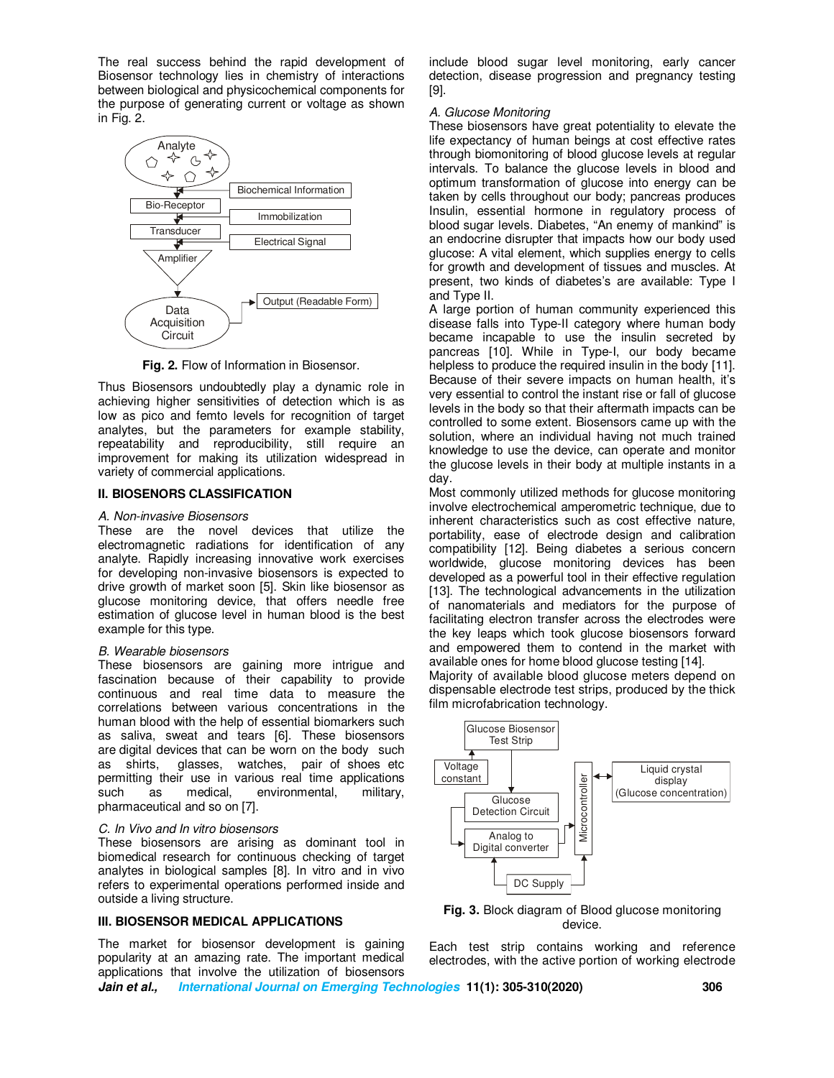The real success behind the rapid development of Biosensor technology lies in chemistry of interactions between biological and physicochemical components for the purpose of generating current or voltage as shown in Fig. 2.



**Fig. 2.** Flow of Information in Biosensor.

Thus Biosensors undoubtedly play a dynamic role in achieving higher sensitivities of detection which is as low as pico and femto levels for recognition of target analytes, but the parameters for example stability, repeatability and reproducibility, still require an improvement for making its utilization widespread in variety of commercial applications.

### **II. BIOSENORS CLASSIFICATION**

#### *A. Non-invasive Biosensors*

These are the novel devices that utilize the electromagnetic radiations for identification of any analyte. Rapidly increasing innovative work exercises for developing non-invasive biosensors is expected to drive growth of market soon [5]. Skin like biosensor as glucose monitoring device, that offers needle free estimation of glucose level in human blood is the best example for this type.

#### *B. Wearable biosensors*

These biosensors are gaining more intrigue and fascination because of their capability to provide continuous and real time data to measure the correlations between various concentrations in the human blood with the help of essential biomarkers such as saliva, sweat and tears [6]. These biosensors are digital devices that can be worn on the body such as shirts, glasses, watches, pair of shoes etc permitting their use in various real time applications<br>such as medical, environmental, military, as medical, environmental, pharmaceutical and so on [7].

#### *C. In Vivo and In vitro biosensors*

These biosensors are arising as dominant tool in biomedical research for continuous checking of target analytes in biological samples [8]. In vitro and in vivo refers to experimental operations performed inside and outside a living structure.

## **III. BIOSENSOR MEDICAL APPLICATIONS**

The market for biosensor development is gaining popularity at an amazing rate. The important medical applications that involve the utilization of biosensors include blood sugar level monitoring, early cancer detection, disease progression and pregnancy testing [9].

### *A. Glucose Monitoring*

These biosensors have great potentiality to elevate the life expectancy of human beings at cost effective rates through biomonitoring of blood glucose levels at regular intervals. To balance the glucose levels in blood and optimum transformation of glucose into energy can be taken by cells throughout our body; pancreas produces Insulin, essential hormone in regulatory process of blood sugar levels. Diabetes, "An enemy of mankind" is an endocrine disrupter that impacts how our body used glucose: A vital element, which supplies energy to cells for growth and development of tissues and muscles. At present, two kinds of diabetes's are available: Type I and Type II.

A large portion of human community experienced this disease falls into Type-II category where human body became incapable to use the insulin secreted by pancreas [10]. While in Type-I, our body became helpless to produce the required insulin in the body [11]. Because of their severe impacts on human health, it's very essential to control the instant rise or fall of glucose levels in the body so that their aftermath impacts can be controlled to some extent. Biosensors came up with the solution, where an individual having not much trained knowledge to use the device, can operate and monitor the glucose levels in their body at multiple instants in a day.

Most commonly utilized methods for glucose monitoring involve electrochemical amperometric technique, due to inherent characteristics such as cost effective nature, portability, ease of electrode design and calibration compatibility [12]. Being diabetes a serious concern worldwide, glucose monitoring devices has been developed as a powerful tool in their effective regulation [13]. The technological advancements in the utilization of nanomaterials and mediators for the purpose of facilitating electron transfer across the electrodes were the key leaps which took glucose biosensors forward and empowered them to contend in the market with available ones for home blood glucose testing [14].

Majority of available blood glucose meters depend on dispensable electrode test strips, produced by the thick film microfabrication technology.



**Fig. 3.** Block diagram of Blood glucose monitoring device.

Each test strip contains working and reference electrodes, with the active portion of working electrode

**Jain et al., International Journal on Emerging Technologies 11(1): 305-310(2020) 306**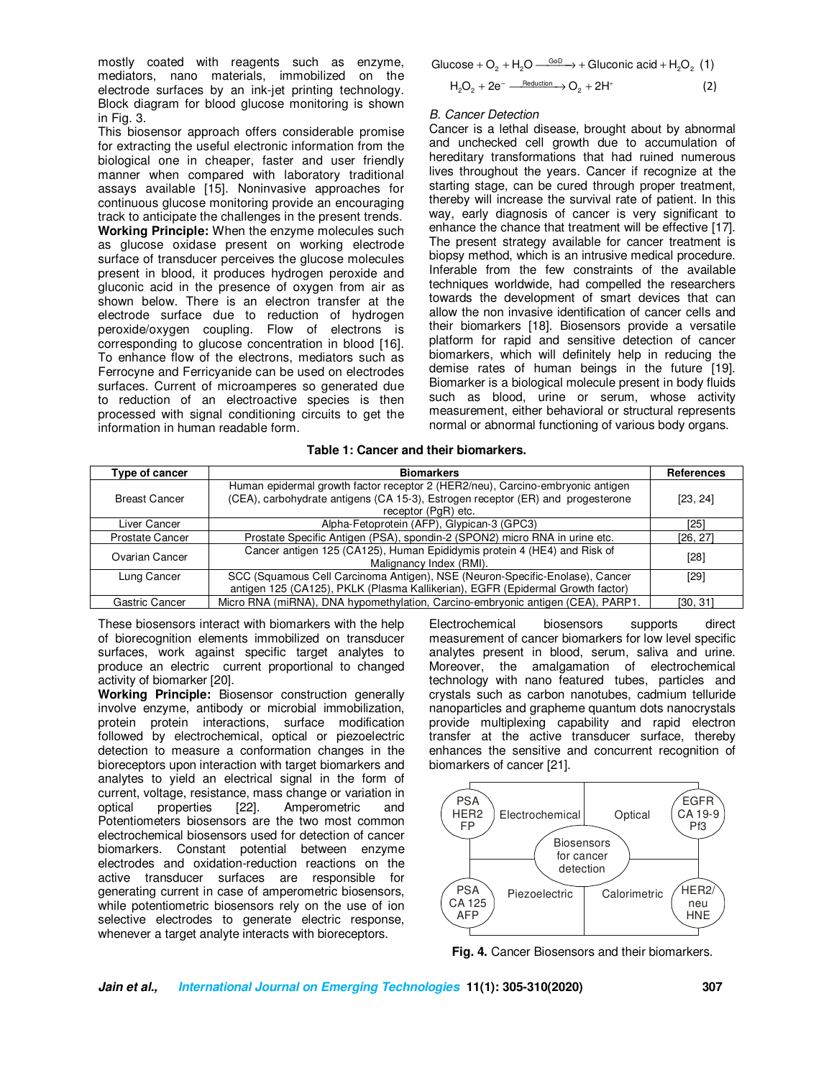mostly coated with reagents such as enzyme, mediators, nano materials, immobilized on the electrode surfaces by an ink-jet printing technology. Block diagram for blood glucose monitoring is shown in Fig. 3.

This biosensor approach offers considerable promise for extracting the useful electronic information from the biological one in cheaper, faster and user friendly manner when compared with laboratory traditional assays available [15]. Noninvasive approaches for continuous glucose monitoring provide an encouraging track to anticipate the challenges in the present trends. **Working Principle:** When the enzyme molecules such as glucose oxidase present on working electrode surface of transducer perceives the glucose molecules present in blood, it produces hydrogen peroxide and gluconic acid in the presence of oxygen from air as shown below. There is an electron transfer at the electrode surface due to reduction of hydrogen peroxide/oxygen coupling. Flow of electrons is corresponding to glucose concentration in blood [16]. To enhance flow of the electrons, mediators such as Ferrocyne and Ferricyanide can be used on electrodes surfaces. Current of microamperes so generated due to reduction of an electroactive species is then processed with signal conditioning circuits to get the information in human readable form.

$$
Glucose + O_2 + H_2O \xrightarrow{GoD} + Gluconic acid + H_2O_2 (1)
$$
  

$$
H_2O_2 + 2e^- \xrightarrow{Reduction} O_2 + 2H^+
$$
 (2)

### *B. Cancer Detection*

Cancer is a lethal disease, brought about by abnormal and unchecked cell growth due to accumulation of hereditary transformations that had ruined numerous lives throughout the years. Cancer if recognize at the starting stage, can be cured through proper treatment, thereby will increase the survival rate of patient. In this way, early diagnosis of cancer is very significant to enhance the chance that treatment will be effective [17]. The present strategy available for cancer treatment is biopsy method, which is an intrusive medical procedure. Inferable from the few constraints of the available techniques worldwide, had compelled the researchers towards the development of smart devices that can allow the non invasive identification of cancer cells and their biomarkers [18]. Biosensors provide a versatile platform for rapid and sensitive detection of cancer biomarkers, which will definitely help in reducing the demise rates of human beings in the future [19]. Biomarker is a biological molecule present in body fluids such as blood, urine or serum, whose activity measurement, either behavioral or structural represents normal or abnormal functioning of various body organs.

#### **Table 1: Cancer and their biomarkers.**

| Type of cancer         | <b>Biomarkers</b>                                                                                                                                                                        | References |
|------------------------|------------------------------------------------------------------------------------------------------------------------------------------------------------------------------------------|------------|
| <b>Breast Cancer</b>   | Human epidermal growth factor receptor 2 (HER2/neu), Carcino-embryonic antigen<br>(CEA), carbohydrate antigens (CA 15-3), Estrogen receptor (ER) and progesterone<br>receptor (PgR) etc. | [23, 24]   |
| Liver Cancer           | Alpha-Fetoprotein (AFP), Glypican-3 (GPC3)                                                                                                                                               | [25]       |
| <b>Prostate Cancer</b> | Prostate Specific Antigen (PSA), spondin-2 (SPON2) micro RNA in urine etc.                                                                                                               | [26, 27]   |
| Ovarian Cancer         | Cancer antigen 125 (CA125), Human Epididymis protein 4 (HE4) and Risk of<br>Malignancy Index (RMI).                                                                                      | [28]       |
| Lung Cancer            | SCC (Squamous Cell Carcinoma Antigen), NSE (Neuron-Specific-Enolase), Cancer                                                                                                             | [29]       |
|                        | antigen 125 (CA125), PKLK (Plasma Kallikerian), EGFR (Epidermal Growth factor)                                                                                                           |            |
| Gastric Cancer         | Micro RNA (miRNA), DNA hypomethylation, Carcino-embryonic antigen (CEA), PARP1.                                                                                                          | [30, 31]   |

These biosensors interact with biomarkers with the help of biorecognition elements immobilized on transducer surfaces, work against specific target analytes to produce an electric current proportional to changed activity of biomarker [20].

**Working Principle:** Biosensor construction generally involve enzyme, antibody or microbial immobilization, protein protein interactions, surface modification followed by electrochemical, optical or piezoelectric detection to measure a conformation changes in the bioreceptors upon interaction with target biomarkers and analytes to yield an electrical signal in the form of current, voltage, resistance, mass change or variation in optical properties [22]. Amperometric and Potentiometers biosensors are the two most common electrochemical biosensors used for detection of cancer biomarkers. Constant potential between enzyme electrodes and oxidation-reduction reactions on the active transducer surfaces are responsible for generating current in case of amperometric biosensors, while potentiometric biosensors rely on the use of ion selective electrodes to generate electric response, whenever a target analyte interacts with bioreceptors.

Electrochemical biosensors supports direct measurement of cancer biomarkers for low level specific analytes present in blood, serum, saliva and urine. Moreover, the amalgamation of electrochemical technology with nano featured tubes, particles and crystals such as carbon nanotubes, cadmium telluride nanoparticles and grapheme quantum dots nanocrystals provide multiplexing capability and rapid electron transfer at the active transducer surface, thereby enhances the sensitive and concurrent recognition of biomarkers of cancer [21].



**Fig. 4.** Cancer Biosensors and their biomarkers.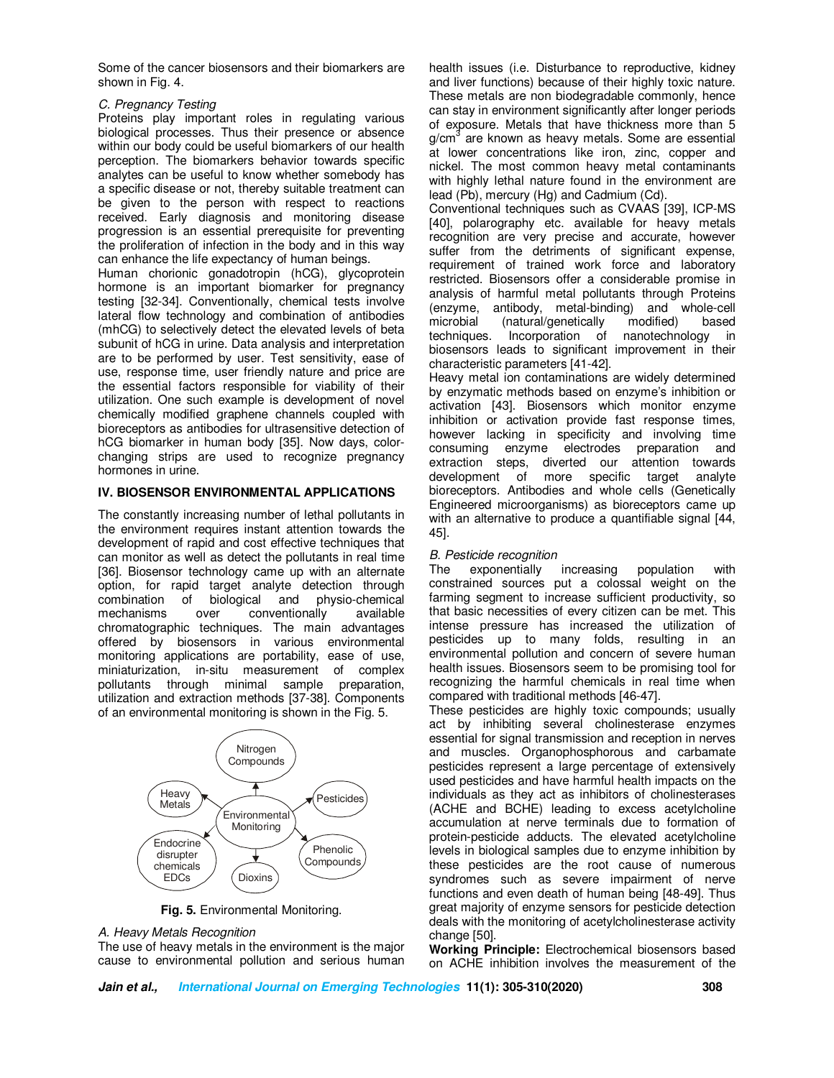Some of the cancer biosensors and their biomarkers are shown in Fig. 4.

### *C. Pregnancy Testing*

Proteins play important roles in regulating various biological processes. Thus their presence or absence within our body could be useful biomarkers of our health perception. The biomarkers behavior towards specific analytes can be useful to know whether somebody has a specific disease or not, thereby suitable treatment can be given to the person with respect to reactions received. Early diagnosis and monitoring disease progression is an essential prerequisite for preventing the proliferation of infection in the body and in this way can enhance the life expectancy of human beings.

Human chorionic gonadotropin (hCG), glycoprotein hormone is an important biomarker for pregnancy testing [32-34]. Conventionally, chemical tests involve lateral flow technology and combination of antibodies (mhCG) to selectively detect the elevated levels of beta subunit of hCG in urine. Data analysis and interpretation are to be performed by user. Test sensitivity, ease of use, response time, user friendly nature and price are the essential factors responsible for viability of their utilization. One such example is development of novel chemically modified graphene channels coupled with bioreceptors as antibodies for ultrasensitive detection of hCG biomarker in human body [35]. Now days, colorchanging strips are used to recognize pregnancy hormones in urine.

### **IV. BIOSENSOR ENVIRONMENTAL APPLICATIONS**

The constantly increasing number of lethal pollutants in the environment requires instant attention towards the development of rapid and cost effective techniques that can monitor as well as detect the pollutants in real time [36]. Biosensor technology came up with an alternate option, for rapid target analyte detection through combination of biological and physio-chemical mechanisms over conventionally available chromatographic techniques. The main advantages offered by biosensors in various environmental monitoring applications are portability, ease of use, miniaturization, in-situ measurement of complex pollutants through minimal sample preparation, utilization and extraction methods [37-38]. Components of an environmental monitoring is shown in the Fig. 5.



**Fig. 5.** Environmental Monitoring.

### *A. Heavy Metals Recognition*

The use of heavy metals in the environment is the major cause to environmental pollution and serious human health issues (i.e. Disturbance to reproductive, kidney and liver functions) because of their highly toxic nature. These metals are non biodegradable commonly, hence can stay in environment significantly after longer periods of exposure. Metals that have thickness more than 5 g/cm<sup>3</sup> are known as heavy metals. Some are essential at lower concentrations like iron, zinc, copper and nickel. The most common heavy metal contaminants with highly lethal nature found in the environment are lead (Pb), mercury (Hg) and Cadmium (Cd).

Conventional techniques such as CVAAS [39], ICP-MS [40], polarography etc. available for heavy metals recognition are very precise and accurate, however suffer from the detriments of significant expense, requirement of trained work force and laboratory restricted. Biosensors offer a considerable promise in analysis of harmful metal pollutants through Proteins (enzyme, antibody, metal-binding) and whole-cell microbial (natural/genetically<br>techniques. Incorporation of Incorporation of nanotechnology in biosensors leads to significant improvement in their characteristic parameters [41-42].

Heavy metal ion contaminations are widely determined by enzymatic methods based on enzyme's inhibition or activation [43]. Biosensors which monitor enzyme inhibition or activation provide fast response times, however lacking in specificity and involving time consuming enzyme electrodes preparation and extraction steps, diverted our attention towards development of more specific target analyte bioreceptors. Antibodies and whole cells (Genetically Engineered microorganisms) as bioreceptors came up with an alternative to produce a quantifiable signal [44, 45].

### *B. Pesticide recognition*

The exponentially increasing population with constrained sources put a colossal weight on the farming segment to increase sufficient productivity, so that basic necessities of every citizen can be met. This intense pressure has increased the utilization of pesticides up to many folds, resulting in an environmental pollution and concern of severe human health issues. Biosensors seem to be promising tool for recognizing the harmful chemicals in real time when compared with traditional methods [46-47].

These pesticides are highly toxic compounds; usually act by inhibiting several cholinesterase enzymes essential for signal transmission and reception in nerves and muscles. Organophosphorous and carbamate pesticides represent a large percentage of extensively used pesticides and have harmful health impacts on the individuals as they act as inhibitors of cholinesterases (ACHE and BCHE) leading to excess acetylcholine accumulation at nerve terminals due to formation of protein-pesticide adducts. The elevated acetylcholine levels in biological samples due to enzyme inhibition by these pesticides are the root cause of numerous syndromes such as severe impairment of nerve functions and even death of human being [48-49]. Thus great majority of enzyme sensors for pesticide detection deals with the monitoring of acetylcholinesterase activity change [50].

**Working Principle:** Electrochemical biosensors based on ACHE inhibition involves the measurement of the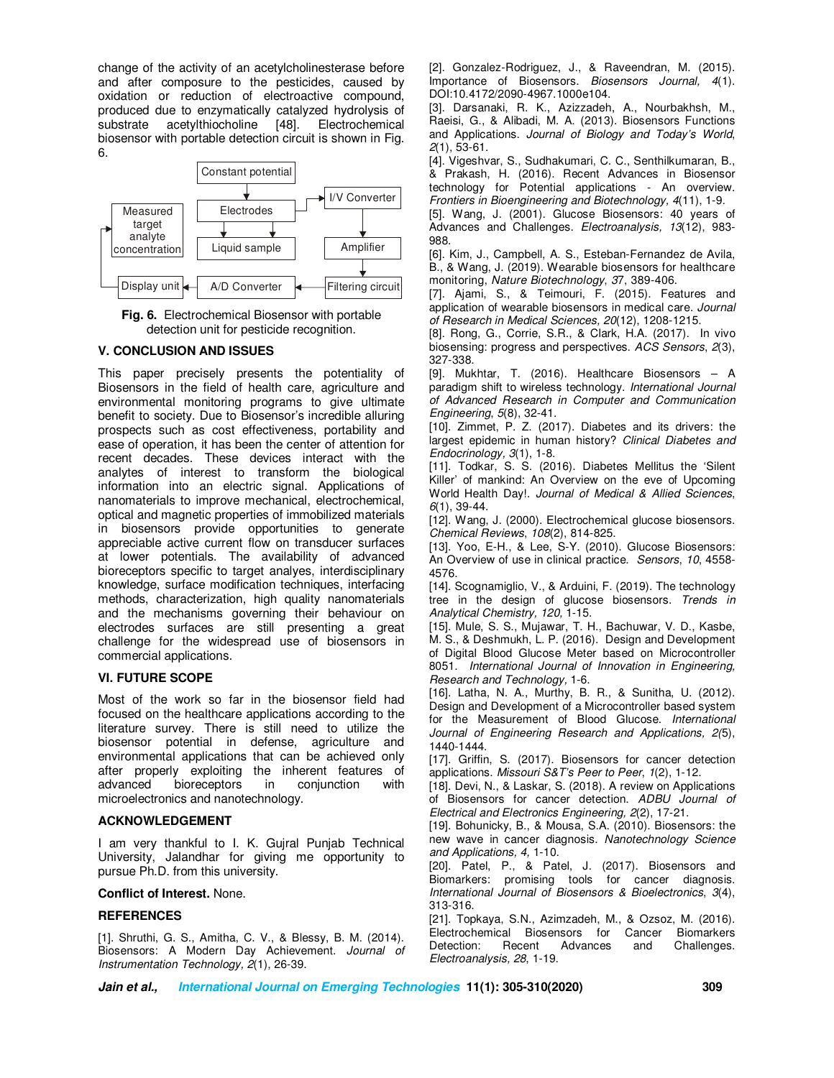change of the activity of an acetylcholinesterase before and after composure to the pesticides, caused by oxidation or reduction of electroactive compound, produced due to enzymatically catalyzed hydrolysis of substrate acetylthiocholine [48]. Electrochemical biosensor with portable detection circuit is shown in Fig. 6.



**Fig. 6.** Electrochemical Biosensor with portable detection unit for pesticide recognition.

### **V. CONCLUSION AND ISSUES**

This paper precisely presents the potentiality of Biosensors in the field of health care, agriculture and environmental monitoring programs to give ultimate benefit to society. Due to Biosensor's incredible alluring prospects such as cost effectiveness, portability and ease of operation, it has been the center of attention for recent decades. These devices interact with the analytes of interest to transform the biological information into an electric signal. Applications of nanomaterials to improve mechanical, electrochemical, optical and magnetic properties of immobilized materials in biosensors provide opportunities to generate appreciable active current flow on transducer surfaces at lower potentials. The availability of advanced bioreceptors specific to target analyes, interdisciplinary knowledge, surface modification techniques, interfacing methods, characterization, high quality nanomaterials and the mechanisms governing their behaviour on electrodes surfaces are still presenting a great challenge for the widespread use of biosensors in commercial applications.

### **VI. FUTURE SCOPE**

Most of the work so far in the biosensor field had focused on the healthcare applications according to the literature survey. There is still need to utilize the biosensor potential in defense, agriculture and environmental applications that can be achieved only after properly exploiting the inherent features of advanced bioreceptors in conjunction with microelectronics and nanotechnology.

### **ACKNOWLEDGEMENT**

I am very thankful to I. K. Gujral Punjab Technical University, Jalandhar for giving me opportunity to pursue Ph.D. from this university.

#### **Conflict of Interest.** None.

#### **REFERENCES**

[1]. Shruthi, G. S., Amitha, C. V., & Blessy, B. M. (2014). Biosensors: A Modern Day Achievement. *Journal of Instrumentation Technology, 2*(1), 26-39.

[2]. Gonzalez-Rodriguez, J., & Raveendran, M. (2015). Importance of Biosensors. *Biosensors Journal, 4*(1). DOI:10.4172/2090-4967.1000e104.

[3]. Darsanaki, R. K., Azizzadeh, A., Nourbakhsh, M., Raeisi, G., & Alibadi, M. A. (2013). Biosensors Functions and Applications. *Journal of Biology and Today's World*, *2*(1), 53-61.

[4]. Vigeshvar, S., Sudhakumari, C. C., Senthilkumaran, B., & Prakash, H. (2016). Recent Advances in Biosensor technology for Potential applications - An overview. *Frontiers in Bioengineering and Biotechnology, 4*(11), 1-9.

[5]. Wang, J. (2001). Glucose Biosensors: 40 years of Advances and Challenges. *Electroanalysis, 13*(12), 983- 988.

[6]. Kim, J., Campbell, A. S., Esteban-Fernandez de Avila, B., & Wang, J. (2019). Wearable biosensors for healthcare monitoring, *Nature Biotechnology*, *3*7, 389-406.

[7]. Ajami, S., & Teimouri, F. (2015). Features and application of wearable biosensors in medical care. *Journal of Research in Medical Sciences, 20*(12), 1208-1215.

[8]. Rong, G., Corrie, S.R., & Clark, H.A. (2017). In vivo biosensing: progress and perspectives. *ACS Sensors*, *2*(3), 327-338.

[9]. Mukhtar, T. (2016). Healthcare Biosensors – A paradigm shift to wireless technology. *International Journal of Advanced Research in Computer and Communication Engineering*, *5*(8), 32-41.

[10]. Zimmet, P. Z. (2017). Diabetes and its drivers: the largest epidemic in human history? *Clinical Diabetes and Endocrinology, 3*(1), 1-8.

[11]. Todkar, S. S. (2016). Diabetes Mellitus the 'Silent Killer' of mankind: An Overview on the eve of Upcoming World Health Day!. *Journal of Medical & Allied Sciences*, *6*(1), 39-44.

[12]. Wang, J. (2000). Electrochemical glucose biosensors. *Chemical Reviews*, *108*(2), 814-825.

[13]. Yoo, E-H., & Lee, S-Y. (2010). Glucose Biosensors: An Overview of use in clinical practice. *Sensors*, *10*, 4558- 4576.

[14]. Scognamiglio, V., & Arduini, F. (2019). The technology tree in the design of glucose biosensors. *Trends in Analytical Chemistry, 120,* 1-15.

[15]. Mule, S. S., Mujawar, T. H., Bachuwar, V. D., Kasbe, M. S., & Deshmukh, L. P. (2016). Design and Development of Digital Blood Glucose Meter based on Microcontroller 8051. *International Journal of Innovation in Engineering, Research and Technology,* 1-6.

[16]. Latha, N. A., Murthy, B. R., & Sunitha, U. (2012). Design and Development of a Microcontroller based system for the Measurement of Blood Glucose. *International Journal of Engineering Research and Applications, 2(*5), 1440-1444.

[17]. Griffin, S. (2017). Biosensors for cancer detection applications. *Missouri S&T's Peer to Peer*, *1*(2), 1-12.

[18]. Devi, N., & Laskar, S. (2018). A review on Applications of Biosensors for cancer detection. *ADBU Journal of Electrical and Electronics Engineering, 2*(2), 17-21.

[19]. Bohunicky, B., & Mousa, S.A. (2010). Biosensors: the new wave in cancer diagnosis. *Nanotechnology Science and Applications, 4,* 1-10.

[20]. Patel, P., & Patel, J. (2017). Biosensors and Biomarkers: promising tools for cancer diagnosis. *International Journal of Biosensors & Bioelectronics*, *3*(4), 313-316.

[21]. Topkaya, S.N., Azimzadeh, M., & Ozsoz, M. (2016). Electrochemical Biosensors for Cancer Biomarkers Detection: Recent Advances and Challenges. *Electroanalysis, 28*, 1-19.